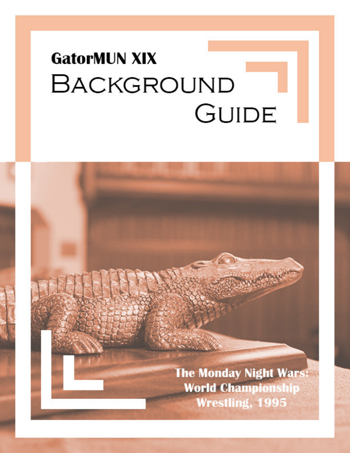# **GatorMUN XIX BACKGROUND GUIDE**

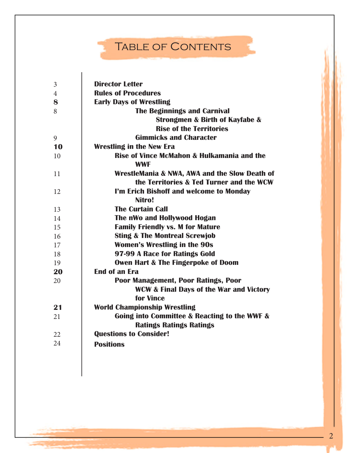# TABLE OF CONTENTS

 $\overline{\phantom{a}}$ 

₹,

| 3              | <b>Director Letter</b>                                                                                 |
|----------------|--------------------------------------------------------------------------------------------------------|
| $\overline{4}$ | <b>Rules of Procedures</b>                                                                             |
| 8              | <b>Early Days of Wrestling</b>                                                                         |
| 8              | <b>The Beginnings and Carnival</b>                                                                     |
|                | Strongmen & Birth of Kayfabe &                                                                         |
|                | <b>Rise of the Territories</b>                                                                         |
| 9              | <b>Gimmicks and Character</b>                                                                          |
| 10             | <b>Wrestling in the New Era</b>                                                                        |
| 10             | Rise of Vince McMahon & Hulkamania and the<br><b>WWF</b>                                               |
| 11             | WrestleMania & NWA, AWA and the Slow Death of<br>the Territories & Ted Turner and the WCW              |
| 12             | I'm Erich Bishoff and welcome to Monday<br>Nitro!                                                      |
| 13             | <b>The Curtain Call</b>                                                                                |
| 14             | The nWo and Hollywood Hogan                                                                            |
| 15             | <b>Family Friendly vs. M for Mature</b>                                                                |
| 16             | <b>Sting &amp; The Montreal Screwjob</b>                                                               |
| 17             | <b>Women's Wrestling in the 90s</b>                                                                    |
| 18             | 97-99 A Race for Ratings Gold                                                                          |
| 19             | <b>Owen Hart &amp; The Fingerpoke of Doom</b>                                                          |
| 20             | <b>End of an Era</b>                                                                                   |
| 20             | Poor Management, Poor Ratings, Poor<br><b>WCW &amp; Final Days of the War and Victory</b><br>for Vince |
| 21             | <b>World Championship Wrestling</b>                                                                    |
| 21             | Going into Committee & Reacting to the WWF &                                                           |
|                | <b>Ratings Ratings Ratings</b>                                                                         |
| 22             | <b>Questions to Consider!</b>                                                                          |
| 24             | <b>Positions</b>                                                                                       |
|                |                                                                                                        |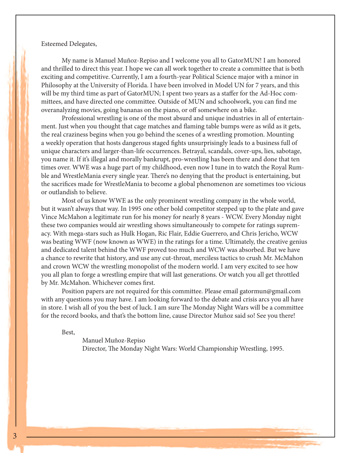#### Esteemed Delegates,

My name is Manuel Muñoz-Repiso and I welcome you all to GatorMUN! I am honored and thrilled to direct this year. I hope we can all work together to create a committee that is both exciting and competitive. Currently, I am a fourth-year Political Science major with a minor in Philosophy at the University of Florida. I have been involved in Model UN for 7 years, and this will be my third time as part of GatorMUN; I spent two years as a staffer for the Ad-Hoc committees, and have directed one committee. Outside of MUN and schoolwork, you can find me overanalyzing movies, going bananas on the piano, or off somewhere on a bike.

Professional wrestling is one of the most absurd and unique industries in all of entertainment. Just when you thought that cage matches and flaming table bumps were as wild as it gets, the real craziness begins when you go behind the scenes of a wrestling promotion. Mounting a weekly operation that hosts dangerous staged fights unsurprisingly leads to a business full of unique characters and larger-than-life occurrences. Betrayal, scandals, cover-ups, lies, sabotage, you name it. If it's illegal and morally bankrupt, pro-wrestling has been there and done that ten times over. WWE was a huge part of my childhood, even now I tune in to watch the Royal Rumble and WrestleMania every single year. There's no denying that the product is entertaining, but the sacrifices made for WrestleMania to become a global phenomenon are sometimes too vicious or outlandish to believe.

Most of us know WWE as the only prominent wrestling company in the whole world, but it wasn't always that way. In 1995 one other bold competitor stepped up to the plate and gave Vince McMahon a legitimate run for his money for nearly 8 years - WCW. Every Monday night these two companies would air wrestling shows simultaneously to compete for ratings supremacy. With mega-stars such as Hulk Hogan, Ric Flair, Eddie Guerrero, and Chris Jericho, WCW was beating WWF (now known as WWE) in the ratings for a time. Ultimately, the creative genius and dedicated talent behind the WWF proved too much and WCW was absorbed. But we have a chance to rewrite that history, and use any cut-throat, merciless tactics to crush Mr. McMahon and crown WCW the wrestling monopolist of the modern world. I am very excited to see how you all plan to forge a wrestling empire that will last generations. Or watch you all get throttled by Mr. McMahon. Whichever comes first.

Position papers are not required for this committee. Please email gatormun@gmail.com with any questions you may have. I am looking forward to the debate and crisis arcs you all have in store. I wish all of you the best of luck. I am sure The Monday Night Wars will be a committee for the record books, and that's the bottom line, cause Director Muñoz said so! See you there!

Best,

 Manuel Muñoz-Repiso Director, The Monday Night Wars: World Championship Wrestling, 1995.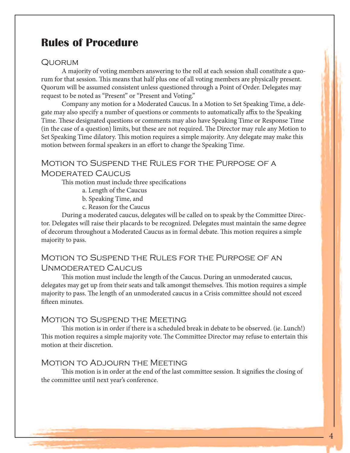# **Rules of Procedure**

#### Quorum

A majority of voting members answering to the roll at each session shall constitute a quorum for that session. This means that half plus one of all voting members are physically present. Quorum will be assumed consistent unless questioned through a Point of Order. Delegates may request to be noted as "Present" or "Present and Voting."

Company any motion for a Moderated Caucus. In a Motion to Set Speaking Time, a delegate may also specify a number of questions or comments to automatically affix to the Speaking Time. These designated questions or comments may also have Speaking Time or Response Time (in the case of a question) limits, but these are not required. The Director may rule any Motion to Set Speaking Time dilatory. This motion requires a simple majority. Any delegate may make this motion between formal speakers in an effort to change the Speaking Time.

# Motion to Suspend the Rules for the Purpose of a

#### Moderated Caucus

This motion must include three specifications

- a. Length of the Caucus
- b. Speaking Time, and
- c. Reason for the Caucus

During a moderated caucus, delegates will be called on to speak by the Committee Director. Delegates will raise their placards to be recognized. Delegates must maintain the same degree of decorum throughout a Moderated Caucus as in formal debate. This motion requires a simple majority to pass.

#### Motion to Suspend the Rules for the Purpose of an Unmoderated Caucus

This motion must include the length of the Caucus. During an unmoderated caucus, delegates may get up from their seats and talk amongst themselves. This motion requires a simple majority to pass. The length of an unmoderated caucus in a Crisis committee should not exceed fifteen minutes.

#### MOTION TO SUSPEND THE MEETING

This motion is in order if there is a scheduled break in debate to be observed. (ie. Lunch!) This motion requires a simple majority vote. The Committee Director may refuse to entertain this motion at their discretion.

#### Motion to Adjourn the Meeting

This motion is in order at the end of the last committee session. It signifies the closing of the committee until next year's conference.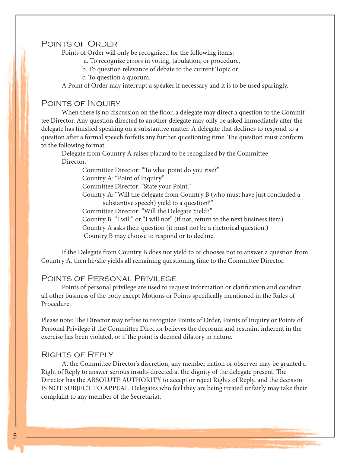#### Points of Order

Points of Order will only be recognized for the following items:

- a. To recognize errors in voting, tabulation, or procedure,
- b. To question relevance of debate to the current Topic or
- c. To question a quorum.

A Point of Order may interrupt a speaker if necessary and it is to be used sparingly.

#### Points of Inquiry

When there is no discussion on the floor, a delegate may direct a question to the Committee Director. Any question directed to another delegate may only be asked immediately after the delegate has finished speaking on a substantive matter. A delegate that declines to respond to a question after a formal speech forfeits any further questioning time. The question must conform to the following format:

Delegate from Country A raises placard to be recognized by the Committee Director.

Committee Director: "To what point do you rise?"

Country A: "Point of Inquiry."

Committee Director: "State your Point."

 Country A: "Will the delegate from Country B (who must have just concluded a substantive speech) yield to a question?"

Committee Director: "Will the Delegate Yield?"

Country B: "I will" or "I will not" (if not, return to the next business item)

Country A asks their question (it must not be a rhetorical question.)

Country B may choose to respond or to decline.

If the Delegate from Country B does not yield to or chooses not to answer a question from Country A, then he/she yields all remaining questioning time to the Committee Director.

#### Points of Personal Privilege

Points of personal privilege are used to request information or clarification and conduct all other business of the body except Motions or Points specifically mentioned in the Rules of Procedure.

Please note: The Director may refuse to recognize Points of Order, Points of Inquiry or Points of Personal Privilege if the Committee Director believes the decorum and restraint inherent in the exercise has been violated, or if the point is deemed dilatory in nature.

#### Rights of Reply

At the Committee Director's discretion, any member nation or observer may be granted a Right of Reply to answer serious insults directed at the dignity of the delegate present. The Director has the ABSOLUTE AUTHORITY to accept or reject Rights of Reply, and the decision IS NOT SUBJECT TO APPEAL. Delegates who feel they are being treated unfairly may take their complaint to any member of the Secretariat.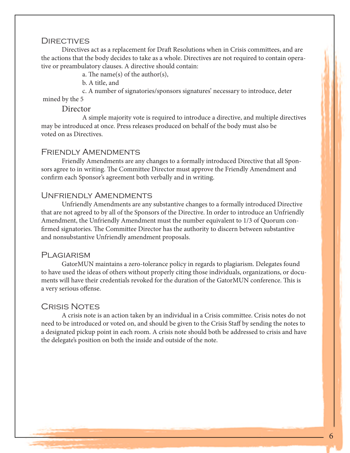#### **DIRECTIVES**

Directives act as a replacement for Draft Resolutions when in Crisis committees, and are the actions that the body decides to take as a whole. Directives are not required to contain operative or preambulatory clauses. A directive should contain:

a. The name(s) of the author(s),

b. A title, and

 c. A number of signatories/sponsors signatures' necessary to introduce, deter mined by the 5

Director<br>A simple majority vote is required to introduce a directive, and multiple directives may be introduced at once. Press releases produced on behalf of the body must also be voted on as Directives.

#### FRIENDLY AMENDMENTS

Friendly Amendments are any changes to a formally introduced Directive that all Sponsors agree to in writing. The Committee Director must approve the Friendly Amendment and confirm each Sponsor's agreement both verbally and in writing.

#### Unfriendly Amendments

Unfriendly Amendments are any substantive changes to a formally introduced Directive that are not agreed to by all of the Sponsors of the Directive. In order to introduce an Unfriendly Amendment, the Unfriendly Amendment must the number equivalent to 1/3 of Quorum confirmed signatories. The Committee Director has the authority to discern between substantive and nonsubstantive Unfriendly amendment proposals.

#### PLAGIARISM

GatorMUN maintains a zero-tolerance policy in regards to plagiarism. Delegates found to have used the ideas of others without properly citing those individuals, organizations, or documents will have their credentials revoked for the duration of the GatorMUN conference. This is a very serious offense.

#### Crisis Notes

A crisis note is an action taken by an individual in a Crisis committee. Crisis notes do not need to be introduced or voted on, and should be given to the Crisis Staff by sending the notes to a designated pickup point in each room. A crisis note should both be addressed to crisis and have the delegate's position on both the inside and outside of the note.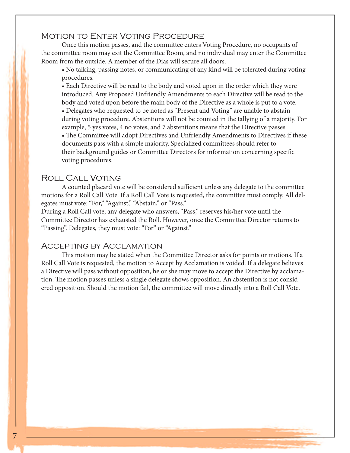### MOTION TO ENTER VOTING PROCEDURE

Once this motion passes, and the committee enters Voting Procedure, no occupants of the committee room may exit the Committee Room, and no individual may enter the Committee Room from the outside. A member of the Dias will secure all doors.

• No talking, passing notes, or communicating of any kind will be tolerated during voting procedures.

• Each Directive will be read to the body and voted upon in the order which they were introduced. Any Proposed Unfriendly Amendments to each Directive will be read to the body and voted upon before the main body of the Directive as a whole is put to a vote.

• Delegates who requested to be noted as "Present and Voting" are unable to abstain during voting procedure. Abstentions will not be counted in the tallying of a majority. For example, 5 yes votes, 4 no votes, and 7 abstentions means that the Directive passes.

• The Committee will adopt Directives and Unfriendly Amendments to Directives if these documents pass with a simple majority. Specialized committees should refer to their background guides or Committee Directors for information concerning specific voting procedures.

#### Roll Call Voting

A counted placard vote will be considered sufficient unless any delegate to the committee motions for a Roll Call Vote. If a Roll Call Vote is requested, the committee must comply. All delegates must vote: "For," "Against," "Abstain," or "Pass."

During a Roll Call vote, any delegate who answers, "Pass," reserves his/her vote until the Committee Director has exhausted the Roll. However, once the Committee Director returns to "Passing". Delegates, they must vote: "For" or "Against."

#### Accepting by Acclamation

This motion may be stated when the Committee Director asks for points or motions. If a Roll Call Vote is requested, the motion to Accept by Acclamation is voided. If a delegate believes a Directive will pass without opposition, he or she may move to accept the Directive by acclamation. The motion passes unless a single delegate shows opposition. An abstention is not considered opposition. Should the motion fail, the committee will move directly into a Roll Call Vote.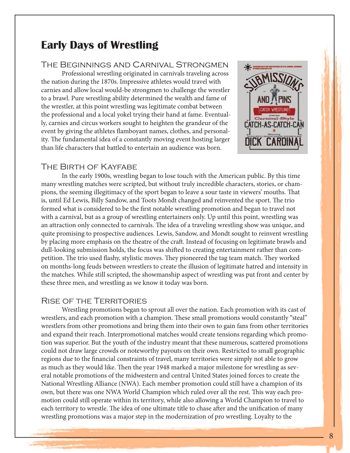# **Early Days of Wrestling**

#### The Beginnings and Carnival Strongmen

Professional wrestling originated in carnivals traveling across the nation during the 1870s. Impressive athletes would travel with carnies and allow local would-be strongmen to challenge the wrestler to a brawl. Pure wrestling ability determined the wealth and fame of the wrestler, at this point wrestling was legitimate combat between the professional and a local yokel trying their hand at fame. Eventually, carnies and circus workers sought to heighten the grandeur of the event by giving the athletes flamboyant names, clothes, and personality. The fundamental idea of a constantly moving event hosting larger than life characters that battled to entertain an audience was born.



#### The Birth of Kayfabe

In the early 1900s, wrestling began to lose touch with the American public. By this time many wrestling matches were scripted, but without truly incredible characters, stories, or champions, the seeming illegitimacy of the sport began to leave a sour taste in viewers' mouths. That is, until Ed Lewis, Billy Sandow, and Toots Mondt changed and reinvented the sport. The trio formed what is considered to be the first notable wrestling promotion and began to travel not with a carnival, but as a group of wrestling entertainers only. Up until this point, wrestling was an attraction only connected to carnivals. The idea of a traveling wrestling show was unique, and quite promising to prospective audiences. Lewis, Sandow, and Mondt sought to reinvent wrestling by placing more emphasis on the theatre of the craft. Instead of focusing on legitimate brawls and dull-looking submission holds, the focus was shifted to creating entertainment rather than competition. The trio used flashy, stylistic moves. They pioneered the tag team match. They worked on months-long feuds between wrestlers to create the illusion of legitimate hatred and intensity in the matches. While still scripted, the showmanship aspect of wrestling was put front and center by these three men, and wrestling as we know it today was born.

#### Rise of the Territories

Wrestling promotions began to sprout all over the nation. Each promotion with its cast of wrestlers, and each promotion with a champion. These small promotions would constantly "steal" wrestlers from other promotions and bring them into their own to gain fans from other territories and expand their reach. Interpromotional matches would create tensions regarding which promotion was superior. But the youth of the industry meant that these numerous, scattered promotions could not draw large crowds or noteworthy payouts on their own. Restricted to small geographic regions due to the financial constraints of travel, many territories were simply not able to grow as much as they would like. Then the year 1948 marked a major milestone for wrestling as several notable promotions of the midwestern and central United States joined forces to create the National Wrestling Alliance (NWA). Each member promotion could still have a champion of its own, but there was one NWA World Champion which ruled over all the rest. This way each promotion could still operate within its territory, while also allowing a World Champion to travel to each territory to wrestle. The idea of one ultimate title to chase after and the unification of many wrestling promotions was a major step in the modernization of pro wrestling. Loyalty to the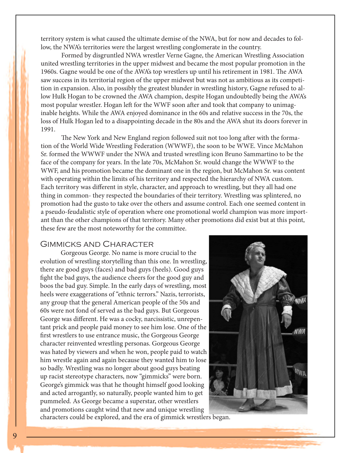territory system is what caused the ultimate demise of the NWA, but for now and decades to follow, the NWA's territories were the largest wrestling conglomerate in the country.

Formed by disgruntled NWA wrestler Verne Gagne, the American Wrestling Association united wrestling territories in the upper midwest and became the most popular promotion in the 1960s. Gagne would be one of the AWA's top wrestlers up until his retirement in 1981. The AWA saw success in its territorial region of the upper midwest but was not as ambitious as its competition in expansion. Also, in possibly the greatest blunder in wrestling history, Gagne refused to allow Hulk Hogan to be crowned the AWA champion, despite Hogan undoubtedly being the AWA's most popular wrestler. Hogan left for the WWF soon after and took that company to unimaginable heights. While the AWA enjoyed dominance in the 60s and relative success in the 70s, the loss of Hulk Hogan led to a disappointing decade in the 80s and the AWA shut its doors forever in 1991.

The New York and New England region followed suit not too long after with the formation of the World Wide Wrestling Federation (WWWF), the soon to be WWE. Vince McMahon Sr. formed the WWWF under the NWA and trusted wrestling icon Bruno Sammartino to be the face of the company for years. In the late 70s, McMahon Sr. would change the WWWF to the WWF, and his promotion became the dominant one in the region, but McMahon Sr. was content with operating within the limits of his territory and respected the hierarchy of NWA custom. Each territory was different in style, character, and approach to wrestling, but they all had one thing in common- they respected the boundaries of their territory. Wrestling was splintered, no promotion had the gusto to take over the others and assume control. Each one seemed content in a pseudo-feudalistic style of operation where one promotional world champion was more important than the other champions of that territory. Many other promotions did exist but at this point, these few are the most noteworthy for the committee.

#### Gimmicks and Character

Gorgeous George. No name is more crucial to the evolution of wrestling storytelling than this one. In wrestling, there are good guys (faces) and bad guys (heels). Good guys fight the bad guys, the audience cheers for the good guy and boos the bad guy. Simple. In the early days of wrestling, most heels were exaggerations of "ethnic terrors." Nazis, terrorists, any group that the general American people of the 50s and 60s were not fond of served as the bad guys. But Gorgeous George was different. He was a cocky, narcissistic, unrepentant prick and people paid money to see him lose. One of the first wrestlers to use entrance music, the Gorgeous George character reinvented wrestling personas. Gorgeous George was hated by viewers and when he won, people paid to watch him wrestle again and again because they wanted him to lose so badly. Wrestling was no longer about good guys beating up racist stereotype characters, now "gimmicks" were born. George's gimmick was that he thought himself good looking and acted arrogantly, so naturally, people wanted him to get pummeled. As George became a superstar, other wrestlers and promotions caught wind that new and unique wrestling characters could be explored, and the era of gimmick wrestlers began.

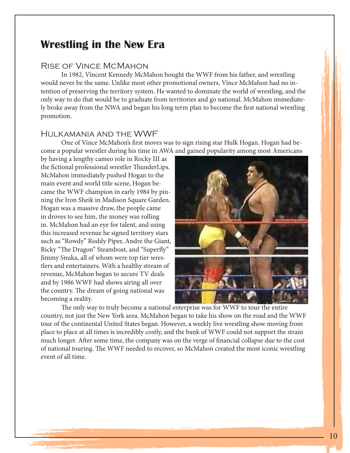# **Wrestling in the New Era**

#### Rise of Vince McMahon

In 1982, Vincent Kennedy McMahon bought the WWF from his father, and wrestling would never be the same. Unlike most other promotional owners, Vince McMahon had no intention of preserving the territory system. He wanted to dominate the world of wrestling, and the only way to do that would be to graduate from territories and go national. McMahon immediately broke away from the NWA and began his long term plan to become the first national wrestling promotion.

#### Hulkamania and the WWF

One of Vince McMahon's first moves was to sign rising star Hulk Hogan. Hogan had become a popular wrestler during his time in AWA and gained popularity among most Americans

by having a lengthy cameo role in Rocky III as the fictional professional wrestler ThunderLips. McMahon immediately pushed Hogan to the main event and world title scene, Hogan became the WWF champion in early 1984 by pinning the Iron Sheik in Madison Square Garden. Hogan was a massive draw, the people came in droves to see him, the money was rolling in. McMahon had an eye for talent, and using this increased revenue he signed territory stars such as "Rowdy" Roddy Piper, Andre the Giant, Ricky "The Dragon" Steamboat, and "Superfly" Jimmy Snuka, all of whom were top tier wrestlers and entertainers. With a healthy stream of revenue, McMahon began to secure TV deals and by 1986 WWF had shows airing all over the country. The dream of going national was becoming a reality.



The only way to truly become a national enterprise was for WWF to tour the entire country, not just the New York area. McMahon began to take his show on the road and the WWF tour of the continental United States began. However, a weekly live wrestling show moving from place to place at all times is incredibly costly, and the bank of WWF could not support the strain much longer. After some time, the company was on the verge of financial collapse due to the cost of national touring. The WWF needed to recover, so McMahon created the most iconic wrestling event of all time.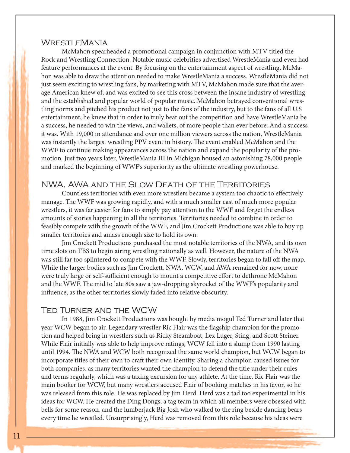#### WrestleMania

McMahon spearheaded a promotional campaign in conjunction with MTV titled the Rock and Wrestling Connection. Notable music celebrities advertised WrestleMania and even had feature performances at the event. By focusing on the entertainment aspect of wrestling, McMahon was able to draw the attention needed to make WrestleMania a success. WrestleMania did not just seem exciting to wrestling fans, by marketing with MTV, McMahon made sure that the average American knew of, and was excited to see this cross between the insane industry of wrestling and the established and popular world of popular music. McMahon betrayed conventional wrestling norms and pitched his product not just to the fans of the industry, but to the fans of all U.S entertainment, he knew that in order to truly beat out the competition and have WrestleMania be a success, he needed to win the views, and wallets, of more people than ever before. And a success it was. With 19,000 in attendance and over one million viewers across the nation, WrestleMania was instantly the largest wrestling PPV event in history. The event enabled McMahon and the WWF to continue making appearances across the nation and expand the popularity of the promotion. Just two years later, WrestleMania III in Michigan housed an astonishing 78,000 people and marked the beginning of WWF's superiority as the ultimate wrestling powerhouse.

#### NWA, AWA and the Slow Death of the Territories

Countless territories with even more wrestlers became a system too chaotic to effectively manage. The WWF was growing rapidly, and with a much smaller cast of much more popular wrestlers, it was far easier for fans to simply pay attention to the WWF and forget the endless amounts of stories happening in all the territories. Territories needed to combine in order to feasibly compete with the growth of the WWF, and Jim Crockett Productions was able to buy up smaller territories and amass enough size to hold its own.

Jim Crockett Productions purchased the most notable territories of the NWA, and its own time slots on TBS to begin airing wrestling nationally as well. However, the nature of the NWA was still far too splintered to compete with the WWF. Slowly, territories began to fall off the map. While the larger bodies such as Jim Crockett, NWA, WCW, and AWA remained for now, none were truly large or self-sufficient enough to mount a competitive effort to dethrone McMahon and the WWF. The mid to late 80s saw a jaw-dropping skyrocket of the WWF's popularity and influence, as the other territories slowly faded into relative obscurity.

#### Ted Turner and the WCW

In 1988, Jim Crockett Productions was bought by media mogul Ted Turner and later that year WCW began to air. Legendary wrestler Ric Flair was the flagship champion for the promotion and helped bring in wrestlers such as Ricky Steamboat, Lex Luger, Sting, and Scott Steiner. While Flair initially was able to help improve ratings, WCW fell into a slump from 1990 lasting until 1994. The NWA and WCW both recognized the same world champion, but WCW began to incorporate titles of their own to craft their own identity. Sharing a champion caused issues for both companies, as many territories wanted the champion to defend the title under their rules and terms regularly, which was a taxing excursion for any athlete. At the time, Ric Flair was the main booker for WCW, but many wrestlers accused Flair of booking matches in his favor, so he was released from this role. He was replaced by Jim Herd. Herd was a tad too experimental in his ideas for WCW. He created the Ding Dongs, a tag team in which all members were obsessed with bells for some reason, and the lumberjack Big Josh who walked to the ring beside dancing bears every time he wrestled. Unsurprisingly, Herd was removed from this role because his ideas were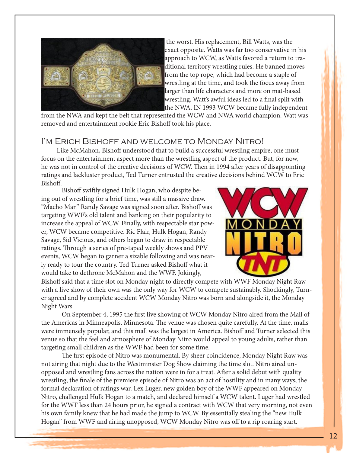

 the worst. His replacement, Bill Watts, was the exact opposite. Watts was far too conservative in his approach to WCW, as Watts favored a return to traditional territory wrestling rules. He banned moves from the top rope, which had become a staple of wrestling at the time, and took the focus away from larger than life characters and more on mat-based wrestling. Watt's awful ideas led to a final split with the NWA. IN 1993 WCW became fully independent

from the NWA and kept the belt that represented the WCW and NWA world champion. Watt was removed and entertainment rookie Eric Bishoff took his place.

#### I'm Erich Bishoff and welcome to Monday Nitro!

 Like McMahon, Bishoff understood that to build a successful wrestling empire, one must focus on the entertainment aspect more than the wrestling aspect of the product. But, for now, he was not in control of the creative decisions of WCW. Then in 1994 after years of disappointing ratings and lackluster product, Ted Turner entrusted the creative decisions behind WCW to Eric Bishoff.

Bishoff swiftly signed Hulk Hogan, who despite being out of wrestling for a brief time, was still a massive draw. "Macho Man" Randy Savage was signed soon after. Bishoff was targeting WWF's old talent and banking on their popularity to increase the appeal of WCW. Finally, with respectable star power, WCW became competitive. Ric Flair, Hulk Hogan, Randy Savage, Sid Vicious, and others began to draw in respectable ratings. Through a series of pre-taped weekly shows and PPV events, WCW began to garner a sizable following and was nearly ready to tour the country. Ted Turner asked Bishoff what it would take to dethrone McMahon and the WWF. Jokingly,



Bishoff said that a time slot on Monday night to directly compete with WWF Monday Night Raw with a live show of their own was the only way for WCW to compete sustainably. Shockingly, Turner agreed and by complete accident WCW Monday Nitro was born and alongside it, the Monday Night Wars.

On September 4, 1995 the first live showing of WCW Monday Nitro aired from the Mall of the Americas in Minneapolis, Minnesota. The venue was chosen quite carefully. At the time, malls were immensely popular, and this mall was the largest in America. Bishoff and Turner selected this venue so that the feel and atmosphere of Monday Nitro would appeal to young adults, rather than targeting small children as the WWF had been for some time.

The first episode of Nitro was monumental. By sheer coincidence, Monday Night Raw was not airing that night due to the Westminster Dog Show claiming the time slot. Nitro aired unopposed and wrestling fans across the nation were in for a treat. After a solid debut with quality wrestling, the finale of the premiere episode of Nitro was an act of hostility and in many ways, the formal declaration of ratings war. Lex Luger, new golden boy of the WWF appeared on Monday Nitro, challenged Hulk Hogan to a match, and declared himself a WCW talent. Luger had wrestled for the WWF less than 24 hours prior, he signed a contract with WCW that very morning, not even his own family knew that he had made the jump to WCW. By essentially stealing the "new Hulk Hogan" from WWF and airing unopposed, WCW Monday Nitro was off to a rip roaring start.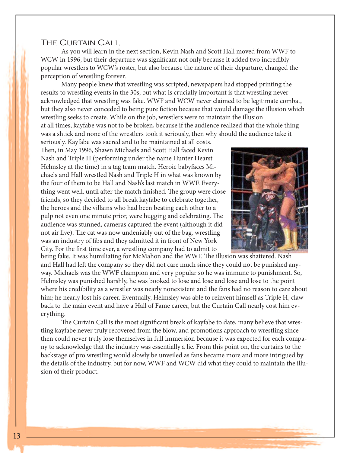#### The Curtain Call

As you will learn in the next section, Kevin Nash and Scott Hall moved from WWF to WCW in 1996, but their departure was significant not only because it added two incredibly popular wrestlers to WCW's roster, but also because the nature of their departure, changed the perception of wrestling forever.

Many people knew that wrestling was scripted, newspapers had stopped printing the results to wrestling events in the 30s, but what is crucially important is that wrestling never acknowledged that wrestling was fake. WWF and WCW never claimed to be legitimate combat, but they also never conceded to being pure fiction because that would damage the illusion which wrestling seeks to create. While on the job, wrestlers were to maintain the illusion at all times, kayfabe was not to be broken, because if the audience realized that the whole thing was a shtick and none of the wrestlers took it seriously, then why should the audience take it

seriously. Kayfabe was sacred and to be maintained at all costs. Then, in May 1996, Shawn Michaels and Scott Hall faced Kevin Nash and Triple H (performing under the name Hunter Hearst Helmsley at the time) in a tag team match. Heroic babyfaces Michaels and Hall wrestled Nash and Triple H in what was known by the four of them to be Hall and Nash's last match in WWF. Everything went well, until after the match finished. The group were close friends, so they decided to all break kayfabe to celebrate together, the heroes and the villains who had been beating each other to a pulp not even one minute prior, were hugging and celebrating. The audience was stunned, cameras captured the event (although it did not air live). The cat was now undeniably out of the bag, wrestling was an industry of fibs and they admitted it in front of New York City. For the first time ever, a wrestling company had to admit to



being fake. It was humiliating for McMahon and the WWF. The illusion was shattered. Nash and Hall had left the company so they did not care much since they could not be punished anyway. Michaels was the WWF champion and very popular so he was immune to punishment. So, Helmsley was punished harshly, he was booked to lose and lose and lose and lose to the point where his credibility as a wrestler was nearly nonexistent and the fans had no reason to care about him; he nearly lost his career. Eventually, Helmsley was able to reinvent himself as Triple H, claw back to the main event and have a Hall of Fame career, but the Curtain Call nearly cost him everything.

The Curtain Call is the most significant break of kayfabe to date, many believe that wrestling kayfabe never truly recovered from the blow, and promotions approach to wrestling since then could never truly lose themselves in full immersion because it was expected for each company to acknowledge that the industry was essentially a lie. From this point on, the curtains to the backstage of pro wrestling would slowly be unveiled as fans became more and more intrigued by the details of the industry, but for now, WWF and WCW did what they could to maintain the illusion of their product.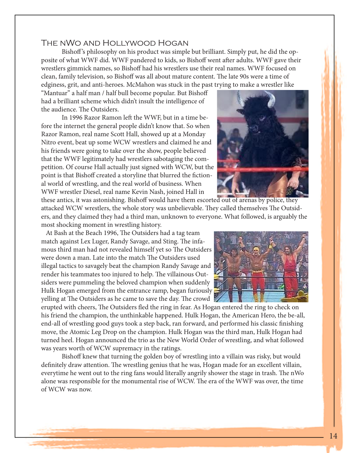### The nWo and Hollywood Hogan

Bishoff 's philosophy on his product was simple but brilliant. Simply put, he did the opposite of what WWF did. WWF pandered to kids, so Bishoff went after adults. WWF gave their wrestlers gimmick names, so Bishoff had his wrestlers use their real names. WWF focused on clean, family television, so Bishoff was all about mature content. The late 90s were a time of edginess, grit, and anti-heroes. McMahon was stuck in the past trying to make a wrestler like

"Mantuar" a half man / half bull become popular. But Bishoff had a brilliant scheme which didn't insult the intelligence of the audience. The Outsiders.

In 1996 Razor Ramon left the WWF, but in a time before the internet the general people didn't know that. So when Razor Ramon, real name Scott Hall, showed up at a Monday Nitro event, beat up some WCW wrestlers and claimed he and his friends were going to take over the show, people believed that the WWF legitimately had wrestlers sabotaging the competition. Of course Hall actually just signed with WCW, but the point is that Bishoff created a storyline that blurred the fictional world of wrestling, and the real world of business. When WWF wrestler Diesel, real name Kevin Nash, joined Hall in



these antics, it was astonishing. Bishoff would have them escorted out of arenas by police, they attacked WCW wrestlers, the whole story was unbelievable. They called themselves The Outsiders, and they claimed they had a third man, unknown to everyone. What followed, is arguably the most shocking moment in wrestling history.

 At Bash at the Beach 1996, The Outsiders had a tag team match against Lex Luger, Randy Savage, and Sting. The infamous third man had not revealed himself yet so The Outsiders were down a man. Late into the match The Outsiders used illegal tactics to savagely beat the champion Randy Savage and render his teammates too injured to help. The villainous Outsiders were pummeling the beloved champion when suddenly Hulk Hogan emerged from the entrance ramp, began furiously yelling at The Outsiders as he came to save the day. The crowd



erupted with cheers, The Outsiders fled the ring in fear. As Hogan entered the ring to check on his friend the champion, the unthinkable happened. Hulk Hogan, the American Hero, the be-all, end-all of wrestling good guys took a step back, ran forward, and performed his classic finishing move, the Atomic Leg Drop on the champion. Hulk Hogan was the third man, Hulk Hogan had turned heel. Hogan announced the trio as the New World Order of wrestling, and what followed was years worth of WCW supremacy in the ratings.

Bishoff knew that turning the golden boy of wrestling into a villain was risky, but would definitely draw attention. The wrestling genius that he was, Hogan made for an excellent villain, everytime he went out to the ring fans would literally angrily shower the stage in trash. The nWo alone was responsible for the monumental rise of WCW. The era of the WWF was over, the time of WCW was now.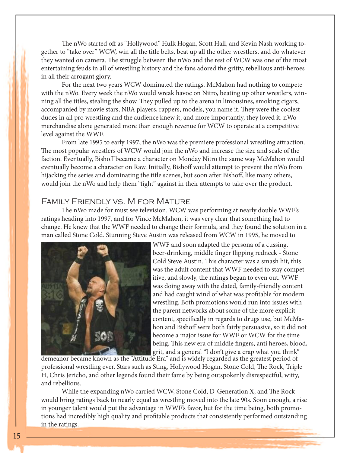The nWo started off as "Hollywood" Hulk Hogan, Scott Hall, and Kevin Nash working together to "take over" WCW, win all the title belts, beat up all the other wrestlers, and do whatever they wanted on camera. The struggle between the nWo and the rest of WCW was one of the most entertaining feuds in all of wrestling history and the fans adored the gritty, rebellious anti-heroes in all their arrogant glory.

For the next two years WCW dominated the ratings. McMahon had nothing to compete with the nWo. Every week the nWo would wreak havoc on Nitro, beating up other wrestlers, winning all the titles, stealing the show. They pulled up to the arena in limousines, smoking cigars, accompanied by movie stars, NBA players, rappers, models, you name it. They were the coolest dudes in all pro wrestling and the audience knew it, and more importantly, they loved it. nWo merchandise alone generated more than enough revenue for WCW to operate at a competitive level against the WWF.

From late 1995 to early 1997, the nWo was the premiere professional wrestling attraction. The most popular wrestlers of WCW would join the nWo and increase the size and scale of the faction. Eventually, Bishoff became a character on Monday Nitro the same way McMahon would eventually become a character on Raw. Initially, Bishoff would attempt to prevent the nWo from hijacking the series and dominating the title scenes, but soon after Bishoff, like many others, would join the nWo and help them "fight" against in their attempts to take over the product.

#### Family Friendly vs. M for Mature

The nWo made for must see television. WCW was performing at nearly double WWF's ratings heading into 1997, and for Vince McMahon, it was very clear that something had to change. He knew that the WWF needed to change their formula, and they found the solution in a man called Stone Cold. Stunning Steve Austin was released from WCW in 1995, he moved to



WWF and soon adapted the persona of a cussing, beer-drinking, middle finger flipping redneck - Stone Cold Steve Austin. This character was a smash hit, this was the adult content that WWF needed to stay competitive, and slowly, the ratings began to even out. WWF was doing away with the dated, family-friendly content and had caught wind of what was profitable for modern wrestling. Both promotions would run into issues with the parent networks about some of the more explicit content, specifically in regards to drugs use, but McMahon and Bishoff were both fairly persuasive, so it did not become a major issue for WWF or WCW for the time being. This new era of middle fingers, anti heroes, blood, grit, and a general "I don't give a crap what you think"

demeanor became known as the "Attitude Era" and is widely regarded as the greatest period of professional wrestling ever. Stars such as Sting, Hollywood Hogan, Stone Cold, The Rock, Triple H, Chris Jericho, and other legends found their fame by being outspokenly disrespectful, witty, and rebellious.

While the expanding nWo carried WCW, Stone Cold, D-Generation X, and The Rock would bring ratings back to nearly equal as wrestling moved into the late 90s. Soon enough, a rise in younger talent would put the advantage in WWF's favor, but for the time being, both promotions had incredibly high quality and profitable products that consistently performed outstanding in the ratings.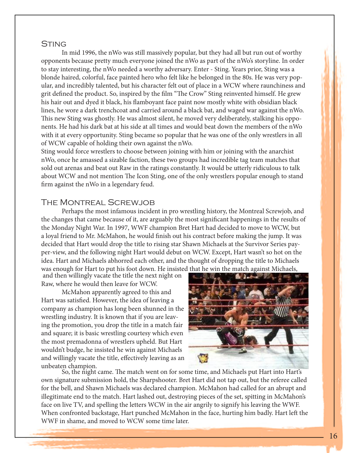#### **STING**

In mid 1996, the nWo was still massively popular, but they had all but run out of worthy opponents because pretty much everyone joined the nWo as part of the nWo's storyline. In order to stay interesting, the nWo needed a worthy adversary. Enter - Sting. Years prior, Sting was a blonde haired, colorful, face painted hero who felt like he belonged in the 80s. He was very popular, and incredibly talented, but his character felt out of place in a WCW where raunchiness and grit defined the product. So, inspired by the film "The Crow" Sting reinvented himself. He grew his hair out and dyed it black, his flamboyant face paint now mostly white with obsidian black lines, he wore a dark trenchcoat and carried around a black bat, and waged war against the nWo. This new Sting was ghostly. He was almost silent, he moved very deliberately, stalking his opponents. He had his dark bat at his side at all times and would beat down the members of the nWo with it at every opportunity. Sting became so popular that he was one of the only wrestlers in all of WCW capable of holding their own against the nWo.

Sting would force wrestlers to choose between joining with him or joining with the anarchist nWo, once he amassed a sizable faction, these two groups had incredible tag team matches that sold out arenas and beat out Raw in the ratings constantly. It would be utterly ridiculous to talk about WCW and not mention The Icon Sting, one of the only wrestlers popular enough to stand firm against the nWo in a legendary feud.

#### The Montreal Screwjob

Perhaps the most infamous incident in pro wrestling history, the Montreal Screwjob, and the changes that came because of it, are arguably the most significant happenings in the results of the Monday Night War. In 1997, WWF champion Bret Hart had decided to move to WCW, but a loyal friend to Mr. McMahon, he would finish out his contract before making the jump. It was decided that Hart would drop the title to rising star Shawn Michaels at the Survivor Series payper-view, and the following night Hart would debut on WCW. Except, Hart wasn't so hot on the idea. Hart and Michaels abhorred each other, and the thought of dropping the title to Michaels was enough for Hart to put his foot down. He insisted that he win the match against Michaels,

 and then willingly vacate the title the next night on Raw, where he would then leave for WCW.

McMahon apparently agreed to this and Hart was satisfied. However, the idea of leaving a company as champion has long been shunned in the wrestling industry. It is known that if you are leaving the promotion, you drop the title in a match fair and square; it is basic wrestling courtesy which even the most premadonna of wrestlers upheld. But Hart wouldn't budge, he insisted he win against Michaels and willingly vacate the title, effectively leaving as an



unbeaten champion. So, the night came. The match went on for some time, and Michaels put Hart into Hart's own signature submission hold, the Sharpshooter. Bret Hart did not tap out, but the referee called for the bell, and Shawn Michaels was declared champion. McMahon had called for an abrupt and illegitimate end to the match. Hart lashed out, destroying pieces of the set, spitting in McMahon's face on live TV, and spelling the letters WCW in the air angrily to signify his leaving the WWF. When confronted backstage, Hart punched McMahon in the face, hurting him badly. Hart left the WWF in shame, and moved to WCW some time later.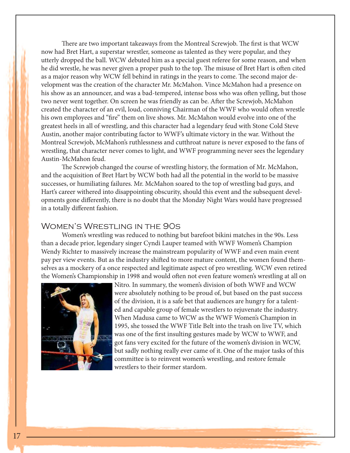There are two important takeaways from the Montreal Screwjob. The first is that WCW now had Bret Hart, a superstar wrestler, someone as talented as they were popular, and they utterly dropped the ball. WCW debuted him as a special guest referee for some reason, and when he did wrestle, he was never given a proper push to the top. The misuse of Bret Hart is often cited as a major reason why WCW fell behind in ratings in the years to come. The second major development was the creation of the character Mr. McMahon. Vince McMahon had a presence on his show as an announcer, and was a bad-tempered, intense boss who was often yelling, but those two never went together. On screen he was friendly as can be. After the Screwjob, McMahon created the character of an evil, loud, conniving Chairman of the WWF who would often wrestle his own employees and "fire" them on live shows. Mr. McMahon would evolve into one of the greatest heels in all of wrestling, and this character had a legendary feud with Stone Cold Steve Austin, another major contributing factor to WWF's ultimate victory in the war. Without the Montreal Screwjob, McMahon's ruthlessness and cutthroat nature is never exposed to the fans of wrestling, that character never comes to light, and WWF programming never sees the legendary Austin-McMahon feud.

The Screwjob changed the course of wrestling history, the formation of Mr. McMahon, and the acquisition of Bret Hart by WCW both had all the potential in the world to be massive successes, or humiliating failures. Mr. McMahon soared to the top of wrestling bad guys, and Hart's career withered into disappointing obscurity, should this event and the subsequent developments gone differently, there is no doubt that the Monday Night Wars would have progressed in a totally different fashion.

#### Women's Wrestling in the 90s

Women's wrestling was reduced to nothing but barefoot bikini matches in the 90s. Less than a decade prior, legendary singer Cyndi Lauper teamed with WWF Women's Champion Wendy Richter to massively increase the mainstream popularity of WWF and even main event pay per view events. But as the industry shifted to more mature content, the women found themselves as a mockery of a once respected and legitimate aspect of pro wrestling. WCW even retired the Women's Championship in 1998 and would often not even feature women's wrestling at all on



Nitro. In summary, the women's division of both WWF and WCW were absolutely nothing to be proud of, but based on the past success of the division, it is a safe bet that audiences are hungry for a talented and capable group of female wrestlers to rejuvenate the industry. When Madusa came to WCW as the WWF Women's Champion in 1995, she tossed the WWF Title Belt into the trash on live TV, which was one of the first insulting gestures made by WCW to WWF, and got fans very excited for the future of the women's division in WCW, but sadly nothing really ever came of it. One of the major tasks of this committee is to reinvent women's wrestling, and restore female wrestlers to their former stardom.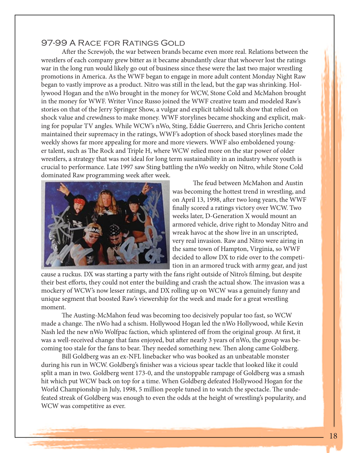#### 97-99 A Race for Ratings Gold

After the Screwjob, the war between brands became even more real. Relations between the wrestlers of each company grew bitter as it became abundantly clear that whoever lost the ratings war in the long run would likely go out of business since these were the last two major wrestling promotions in America. As the WWF began to engage in more adult content Monday Night Raw began to vastly improve as a product. Nitro was still in the lead, but the gap was shrinking. Hollywood Hogan and the nWo brought in the money for WCW, Stone Cold and McMahon brought in the money for WWF. Writer Vince Russo joined the WWF creative team and modeled Raw's stories on that of the Jerry Springer Show, a vulgar and explicit tabloid talk show that relied on shock value and crewdness to make money. WWF storylines became shocking and explicit, making for popular TV angles. While WCW's nWo, Sting, Eddie Guerrero, and Chris Jericho content maintained their supremacy in the ratings, WWF's adoption of shock based storylines made the weekly shows far more appealing for more and more viewers. WWF also emboldened younger talent, such as The Rock and Triple H, where WCW relied more on the star power of older wrestlers, a strategy that was not ideal for long term sustainability in an industry where youth is crucial to performance. Late 1997 saw Sting battling the nWo weekly on Nitro, while Stone Cold dominated Raw programming week after week.



The feud between McMahon and Austin was becoming the hottest trend in wrestling, and on April 13, 1998, after two long years, the WWF finally scored a ratings victory over WCW. Two weeks later, D-Generation X would mount an armored vehicle, drive right to Monday Nitro and wreak havoc at the show live in an unscripted, very real invasion. Raw and Nitro were airing in the same town of Hampton, Virginia, so WWF decided to allow DX to ride over to the competition in an armored truck with army gear, and just

cause a ruckus. DX was starting a party with the fans right outside of Nitro's filming, but despite their best efforts, they could not enter the building and crash the actual show. The invasion was a mockery of WCW's now lesser ratings, and DX rolling up on WCW was a genuinely funny and unique segment that boosted Raw's viewership for the week and made for a great wrestling moment.

The Austing-McMahon feud was becoming too decisively popular too fast, so WCW made a change. The nWo had a schism. Hollywood Hogan led the nWo Hollywood, while Kevin Nash led the new nWo Wolfpac faction, which splintered off from the original group. At first, it was a well-received change that fans enjoyed, but after nearly 3 years of nWo, the group was becoming too stale for the fans to bear. They needed something new. Then along came Goldberg.

Bill Goldberg was an ex-NFL linebacker who was booked as an unbeatable monster during his run in WCW. Goldberg's finisher was a vicious spear tackle that looked like it could split a man in two. Goldberg went 173-0, and the unstoppable rampage of Goldberg was a smash hit which put WCW back on top for a time. When Goldberg defeated Hollywood Hogan for the World Championship in July, 1998, 5 million people tuned in to watch the spectacle. The undefeated streak of Goldberg was enough to even the odds at the height of wrestling's popularity, and WCW was competitive as ever.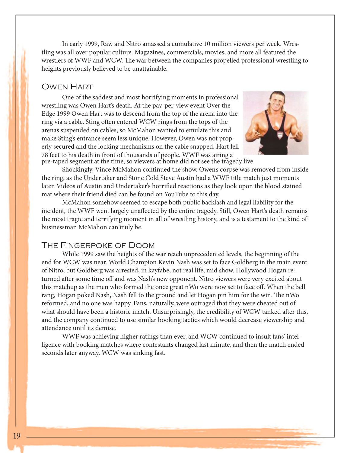In early 1999, Raw and Nitro amassed a cumulative 10 million viewers per week. Wrestling was all over popular culture. Magazines, commercials, movies, and more all featured the wrestlers of WWF and WCW. The war between the companies propelled professional wrestling to heights previously believed to be unattainable.

#### Owen Hart

pre-taped segment at the time, so viewers at home did not see the tragedy live. One of the saddest and most horrifying moments in professional wrestling was Owen Hart's death. At the pay-per-view event Over the Edge 1999 Owen Hart was to descend from the top of the arena into the ring via a cable. Sting often entered WCW rings from the tops of the arenas suspended on cables, so McMahon wanted to emulate this and make Sting's entrance seem less unique. However, Owen was not properly secured and the locking mechanisms on the cable snapped. Hart fell 78 feet to his death in front of thousands of people. WWF was airing a



Shockingly, Vince McMahon continued the show. Owen's corpse was removed from inside the ring, as the Undertaker and Stone Cold Steve Austin had a WWF title match just moments later. Videos of Austin and Undertaker's horrified reactions as they look upon the blood stained mat where their friend died can be found on YouTube to this day.

McMahon somehow seemed to escape both public backlash and legal liability for the incident, the WWF went largely unaffected by the entire tragedy. Still, Owen Hart's death remains the most tragic and terrifying moment in all of wrestling history, and is a testament to the kind of businessman McMahon can truly be.

#### The Fingerpoke of Doom

While 1999 saw the heights of the war reach unprecedented levels, the beginning of the end for WCW was near. World Champion Kevin Nash was set to face Goldberg in the main event of Nitro, but Goldberg was arrested, in kayfabe, not real life, mid show. Hollywood Hogan returned after some time off and was Nash's new opponent. Nitro viewers were very excited about this matchup as the men who formed the once great nWo were now set to face off. When the bell rang, Hogan poked Nash, Nash fell to the ground and let Hogan pin him for the win. The nWo reformed, and no one was happy. Fans, naturally, were outraged that they were cheated out of what should have been a historic match. Unsurprisingly, the credibility of WCW tanked after this, and the company continued to use similar booking tactics which would decrease viewership and attendance until its demise.

WWF was achieving higher ratings than ever, and WCW continued to insult fans' intelligence with booking matches where contestants changed last minute, and then the match ended seconds later anyway. WCW was sinking fast.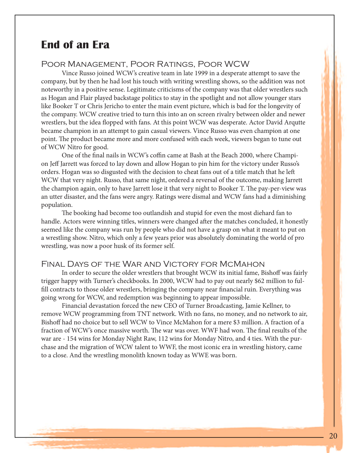# **End of an Era**

#### Poor Management, Poor Ratings, Poor WCW

Vince Russo joined WCW's creative team in late 1999 in a desperate attempt to save the company, but by then he had lost his touch with writing wrestling shows, so the addition was not noteworthy in a positive sense. Legitimate criticisms of the company was that older wrestlers such as Hogan and Flair played backstage politics to stay in the spotlight and not allow younger stars like Booker T or Chris Jericho to enter the main event picture, which is bad for the longevity of the company. WCW creative tried to turn this into an on screen rivalry between older and newer wrestlers, but the idea flopped with fans. At this point WCW was desperate. Actor David Arqutte became champion in an attempt to gain casual viewers. Vince Russo was even champion at one point. The product became more and more confused with each week, viewers began to tune out of WCW Nitro for good.

One of the final nails in WCW's coffin came at Bash at the Beach 2000, where Champion Jeff Jarrett was forced to lay down and allow Hogan to pin him for the victory under Russo's orders. Hogan was so disgusted with the decision to cheat fans out of a title match that he left WCW that very night. Russo, that same night, ordered a reversal of the outcome, making Jarrett the champion again, only to have Jarrett lose it that very night to Booker T. The pay-per-view was an utter disaster, and the fans were angry. Ratings were dismal and WCW fans had a diminishing population.

The booking had become too outlandish and stupid for even the most diehard fan to handle. Actors were winning titles, winners were changed after the matches concluded, it honestly seemed like the company was run by people who did not have a grasp on what it meant to put on a wrestling show. Nitro, which only a few years prior was absolutely dominating the world of pro wrestling, was now a poor husk of its former self.

#### Final Days of the War and Victory for McMahon

In order to secure the older wrestlers that brought WCW its initial fame, Bishoff was fairly trigger happy with Turner's checkbooks. In 2000, WCW had to pay out nearly \$62 million to fulfill contracts to those older wrestlers, bringing the company near financial ruin. Everything was going wrong for WCW, and redemption was beginning to appear impossible.

Financial devastation forced the new CEO of Turner Broadcasting, Jamie Kellner, to remove WCW programming from TNT network. With no fans, no money, and no network to air, Bishoff had no choice but to sell WCW to Vince McMahon for a mere \$3 million. A fraction of a fraction of WCW's once massive worth. The war was over. WWF had won. The final results of the war are - 154 wins for Monday Night Raw, 112 wins for Monday Nitro, and 4 ties. With the purchase and the migration of WCW talent to WWF, the most iconic era in wrestling history, came to a close. And the wrestling monolith known today as WWE was born.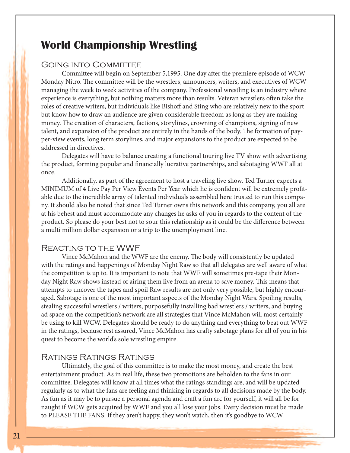# **World Championship Wrestling**

#### Going into Committee

Committee will begin on September 5,1995. One day after the premiere episode of WCW Monday Nitro. The committee will be the wrestlers, announcers, writers, and executives of WCW managing the week to week activities of the company. Professional wrestling is an industry where experience is everything, but nothing matters more than results. Veteran wrestlers often take the roles of creative writers, but individuals like Bishoff and Sting who are relatively new to the sport but know how to draw an audience are given considerable freedom as long as they are making money. The creation of characters, factions, storylines, crowning of champions, signing of new talent, and expansion of the product are entirely in the hands of the body. The formation of payper-view events, long term storylines, and major expansions to the product are expected to be addressed in directives.

Delegates will have to balance creating a functional touring live TV show with advertising the product, forming popular and financially lucrative partnerships, and sabotaging WWF all at once.

Additionally, as part of the agreement to host a traveling live show, Ted Turner expects a MINIMUM of 4 Live Pay Per View Events Per Year which he is confident will be extremely profitable due to the incredible array of talented individuals assembled here trusted to run this company. It should also be noted that since Ted Turner owns this network and this company, you all are at his behest and must accommodate any changes he asks of you in regards to the content of the product. So please do your best not to sour this relationship as it could be the difference between a multi million dollar expansion or a trip to the unemployment line.

#### Reacting to the WWF

Vince McMahon and the WWF are the enemy. The body will consistently be updated with the ratings and happenings of Monday Night Raw so that all delegates are well aware of what the competition is up to. It is important to note that WWF will sometimes pre-tape their Monday Night Raw shows instead of airing them live from an arena to save money. This means that attempts to uncover the tapes and spoil Raw results are not only very possible, but highly encouraged. Sabotage is one of the most important aspects of the Monday Night Wars. Spoiling results, stealing successful wrestlers / writers, purposefully installing bad wrestlers / writers, and buying ad space on the competition's network are all strategies that Vince McMahon will most certainly be using to kill WCW. Delegates should be ready to do anything and everything to beat out WWF in the ratings, because rest assured, Vince McMahon has crafty sabotage plans for all of you in his quest to become the world's sole wrestling empire.

#### Ratings Ratings Ratings

Ultimately, the goal of this committee is to make the most money, and create the best entertainment product. As in real life, these two promotions are beholden to the fans in our committee. Delegates will know at all times what the ratings standings are, and will be updated regularly as to what the fans are feeling and thinking in regards to all decisions made by the body. As fun as it may be to pursue a personal agenda and craft a fun arc for yourself, it will all be for naught if WCW gets acquired by WWF and you all lose your jobs. Every decision must be made to PLEASE THE FANS. If they aren't happy, they won't watch, then it's goodbye to WCW.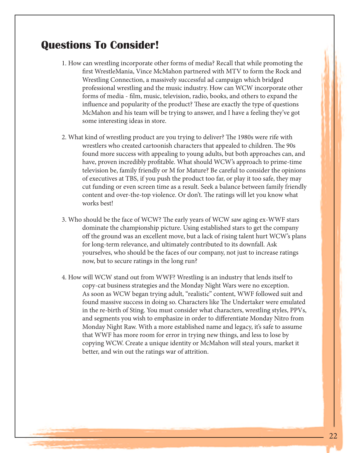# **Questions To Consider!**

- 1. How can wrestling incorporate other forms of media? Recall that while promoting the first WrestleMania, Vince McMahon partnered with MTV to form the Rock and Wrestling Connection, a massively successful ad campaign which bridged professional wrestling and the music industry. How can WCW incorporate other forms of media - film, music, television, radio, books, and others to expand the influence and popularity of the product? These are exactly the type of questions McMahon and his team will be trying to answer, and I have a feeling they've got some interesting ideas in store.
- 2. What kind of wrestling product are you trying to deliver? The 1980s were rife with wrestlers who created cartoonish characters that appealed to children. The 90s found more success with appealing to young adults, but both approaches can, and have, proven incredibly profitable. What should WCW's approach to prime-time television be, family friendly or M for Mature? Be careful to consider the opinions of executives at TBS, if you push the product too far, or play it too safe, they may cut funding or even screen time as a result. Seek a balance between family friendly content and over-the-top violence. Or don't. The ratings will let you know what works best!
- 3. Who should be the face of WCW? The early years of WCW saw aging ex-WWF stars dominate the championship picture. Using established stars to get the company off the ground was an excellent move, but a lack of rising talent hurt WCW's plans for long-term relevance, and ultimately contributed to its downfall. Ask yourselves, who should be the faces of our company, not just to increase ratings now, but to secure ratings in the long run?
- 4. How will WCW stand out from WWF? Wrestling is an industry that lends itself to copy-cat business strategies and the Monday Night Wars were no exception. As soon as WCW began trying adult, "realistic" content, WWF followed suit and found massive success in doing so. Characters like The Undertaker were emulated in the re-birth of Sting. You must consider what characters, wrestling styles, PPVs, and segments you wish to emphasize in order to differentiate Monday Nitro from Monday Night Raw. With a more established name and legacy, it's safe to assume that WWF has more room for error in trying new things, and less to lose by copying WCW. Create a unique identity or McMahon will steal yours, market it better, and win out the ratings war of attrition.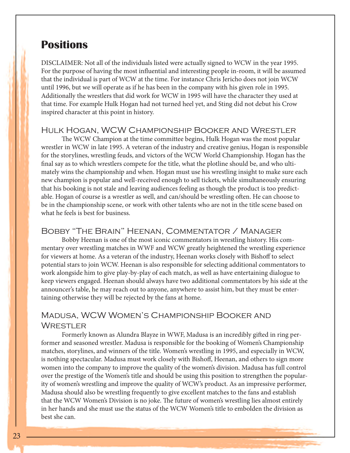# **Positions**

DISCLAIMER: Not all of the individuals listed were actually signed to WCW in the year 1995. For the purpose of having the most influential and interesting people in-room, it will be assumed that the individual is part of WCW at the time. For instance Chris Jericho does not join WCW until 1996, but we will operate as if he has been in the company with his given role in 1995. Additionally the wrestlers that did work for WCW in 1995 will have the character they used at that time. For example Hulk Hogan had not turned heel yet, and Sting did not debut his Crow inspired character at this point in history.

#### Hulk Hogan, WCW Championship Booker and Wrestler

The WCW Champion at the time committee begins, Hulk Hogan was the most popular wrestler in WCW in late 1995. A veteran of the industry and creative genius, Hogan is responsible for the storylines, wrestling feuds, and victors of the WCW World Championship. Hogan has the final say as to which wrestlers compete for the title, what the plotline should be, and who ultimately wins the championship and when. Hogan must use his wrestling insight to make sure each new champion is popular and well-received enough to sell tickets, while simultaneously ensuring that his booking is not stale and leaving audiences feeling as though the product is too predictable. Hogan of course is a wrestler as well, and can/should be wrestling often. He can choose to be in the championship scene, or work with other talents who are not in the title scene based on what he feels is best for business.

#### Bobby "The Brain" Heenan, Commentator / Manager

Bobby Heenan is one of the most iconic commentators in wrestling history. His commentary over wrestling matches in WWF and WCW greatly heightened the wrestling experience for viewers at home. As a veteran of the industry, Heenan works closely with Bishoff to select potential stars to join WCW. Heenan is also responsible for selecting additional commentators to work alongside him to give play-by-play of each match, as well as have entertaining dialogue to keep viewers engaged. Heenan should always have two additional commentators by his side at the announcer's table, he may reach out to anyone, anywhere to assist him, but they must be entertaining otherwise they will be rejected by the fans at home.

#### Madusa, WCW Women's Championship Booker and WRESTLER

Formerly known as Alundra Blayze in WWF, Madusa is an incredibly gifted in ring performer and seasoned wrestler. Madusa is responsible for the booking of Women's Championship matches, storylines, and winners of the title. Women's wrestling in 1995, and especially in WCW, is nothing spectacular. Madusa must work closely with Bishoff, Heenan, and others to sign more women into the company to improve the quality of the women's division. Madusa has full control over the prestige of the Women's title and should be using this position to strengthen the popularity of women's wrestling and improve the quality of WCW's product. As an impressive performer, Madusa should also be wrestling frequently to give excellent matches to the fans and establish that the WCW Women's Division is no joke. The future of women's wrestling lies almost entirely in her hands and she must use the status of the WCW Women's title to embolden the division as best she can.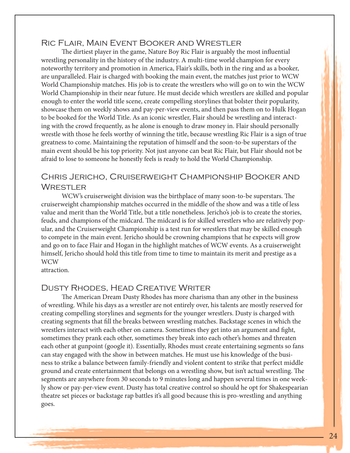#### Ric Flair, Main Event Booker and Wrestler

The dirtiest player in the game, Nature Boy Ric Flair is arguably the most influential wrestling personality in the history of the industry. A multi-time world champion for every noteworthy territory and promotion in America, Flair's skills, both in the ring and as a booker, are unparalleled. Flair is charged with booking the main event, the matches just prior to WCW World Championship matches. His job is to create the wrestlers who will go on to win the WCW World Championship in their near future. He must decide which wrestlers are skilled and popular enough to enter the world title scene, create compelling storylines that bolster their popularity, showcase them on weekly shows and pay-per-view events, and then pass them on to Hulk Hogan to be booked for the World Title. As an iconic wrestler, Flair should be wrestling and interacting with the crowd frequently, as he alone is enough to draw money in. Flair should personally wrestle with those he feels worthy of winning the title, because wrestling Ric Flair is a sign of true greatness to come. Maintaining the reputation of himself and the soon-to-be superstars of the main event should be his top priority. Not just anyone can beat Ric Flair, but Flair should not be afraid to lose to someone he honestly feels is ready to hold the World Championship.

#### Chris Jericho, Cruiserweight Championship Booker and **WRESTLER**

WCW's cruiserweight division was the birthplace of many soon-to-be superstars. The cruiserweight championship matches occurred in the middle of the show and was a title of less value and merit than the World Title, but a title nonetheless. Jericho's job is to create the stories, feuds, and champions of the midcard. The midcard is for skilled wrestlers who are relatively popular, and the Cruiserweight Championship is a test run for wrestlers that may be skilled enough to compete in the main event. Jericho should be crowning champions that he expects will grow and go on to face Flair and Hogan in the highlight matches of WCW events. As a cruiserweight himself, Jericho should hold this title from time to time to maintain its merit and prestige as a WCW

attraction.

#### Dusty Rhodes, Head Creative Writer

The American Dream Dusty Rhodes has more charisma than any other in the business of wrestling. While his days as a wrestler are not entirely over, his talents are mostly reserved for creating compelling storylines and segments for the younger wrestlers. Dusty is charged with creating segments that fill the breaks between wrestling matches. Backstage scenes in which the wrestlers interact with each other on camera. Sometimes they get into an argument and fight, sometimes they prank each other, sometimes they break into each other's homes and threaten each other at gunpoint (google it). Essentially, Rhodes must create entertaining segments so fans can stay engaged with the show in between matches. He must use his knowledge of the business to strike a balance between family-friendly and violent content to strike that perfect middle ground and create entertainment that belongs on a wrestling show, but isn't actual wrestling. The segments are anywhere from 30 seconds to 9 minutes long and happen several times in one weekly show or pay-per-view event. Dusty has total creative control so should he opt for Shakespearian theatre set pieces or backstage rap battles it's all good because this is pro-wrestling and anything goes.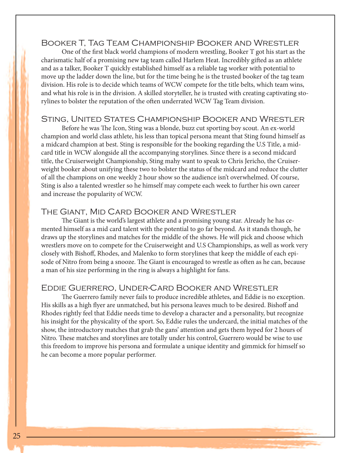#### Booker T, Tag Team Championship Booker and Wrestler

One of the first black world champions of modern wrestling, Booker T got his start as the charismatic half of a promising new tag team called Harlem Heat. Incredibly gifted as an athlete and as a talker, Booker T quickly established himself as a reliable tag worker with potential to move up the ladder down the line, but for the time being he is the trusted booker of the tag team division. His role is to decide which teams of WCW compete for the title belts, which team wins, and what his role is in the division. A skilled storyteller, he is trusted with creating captivating storylines to bolster the reputation of the often underrated WCW Tag Team division.

#### Sting, United States Championship Booker and Wrestler

Before he was The Icon, Sting was a blonde, buzz cut sporting boy scout. An ex-world champion and world class athlete, his less than topical persona meant that Sting found himself as a midcard champion at best. Sting is responsible for the booking regarding the U.S Title, a midcard title in WCW alongside all the accompanying storylines. Since there is a second midcard title, the Cruiserweight Championship, Sting mahy want to speak to Chris Jericho, the Cruiserweight booker about unifying these two to bolster the status of the midcard and reduce the clutter of all the champions on one weekly 2 hour show so the audience isn't overwhelmed. Of course, Sting is also a talented wrestler so he himself may compete each week to further his own career and increase the popularity of WCW.

#### The Giant, Mid Card Booker and Wrestler

The Giant is the world's largest athlete and a promising young star. Already he has cemented himself as a mid card talent with the potential to go far beyond. As it stands though, he draws up the storylines and matches for the middle of the shows. He will pick and choose which wrestlers move on to compete for the Cruiserweight and U.S Championships, as well as work very closely with Bishoff, Rhodes, and Malenko to form storylines that keep the middle of each episode of Nitro from being a snooze. The Giant is encouraged to wrestle as often as he can, because a man of his size performing in the ring is always a highlight for fans.

#### Eddie Guerrero, Under-Card Booker and Wrestler

The Guerrero family never fails to produce incredible athletes, and Eddie is no exception. His skills as a high flyer are unmatched, but his persona leaves much to be desired. Bishoff and Rhodes rightly feel that Eddie needs time to develop a character and a personality, but recognize his insight for the physicality of the sport. So, Eddie rules the undercard, the initial matches of the show, the introductory matches that grab the gans' attention and gets them hyped for 2 hours of Nitro. These matches and storylines are totally under his control, Guerrero would be wise to use this freedom to improve his persona and formulate a unique identity and gimmick for himself so he can become a more popular performer.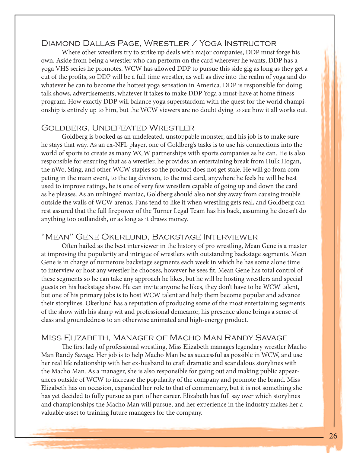#### Diamond Dallas Page, Wrestler / Yoga Instructor

Where other wrestlers try to strike up deals with major companies, DDP must forge his own. Aside from being a wrestler who can perform on the card wherever he wants, DDP has a yoga VHS series he promotes. WCW has allowed DDP to pursue this side gig as long as they get a cut of the profits, so DDP will be a full time wrestler, as well as dive into the realm of yoga and do whatever he can to become the hottest yoga sensation in America. DDP is responsible for doing talk shows, advertisements, whatever it takes to make DDP Yoga a must-have at home fitness program. How exactly DDP will balance yoga superstardom with the quest for the world championship is entirely up to him, but the WCW viewers are no doubt dying to see how it all works out.

#### Goldberg, Undefeated Wrestler

Goldberg is booked as an undefeated, unstoppable monster, and his job is to make sure he stays that way. As an ex-NFL player, one of Goldberg's tasks is to use his connections into the world of sports to create as many WCW partnerships with sports companies as he can. He is also responsible for ensuring that as a wrestler, he provides an entertaining break from Hulk Hogan, the nWo, Sting, and other WCW staples so the product does not get stale. He will go from competing in the main event, to the tag division, to the mid card, anywhere he feels he will be best used to improve ratings, he is one of very few wrestlers capable of going up and down the card as he pleases. As an unhinged maniac, Goldberg should also not shy away from causing trouble outside the walls of WCW arenas. Fans tend to like it when wrestling gets real, and Goldberg can rest assured that the full firepower of the Turner Legal Team has his back, assuming he doesn't do anything too outlandish, or as long as it draws money.

#### "Mean" Gene Okerlund, Backstage Interviewer

Often hailed as the best interviewer in the history of pro wrestling, Mean Gene is a master at improving the popularity and intrigue of wrestlers with outstanding backstage segments. Mean Gene is in charge of numerous backstage segments each week in which he has some alone time to interview or host any wrestler he chooses, however he sees fit. Mean Gene has total control of these segments so he can take any approach he likes, but he will be hosting wrestlers and special guests on his backstage show. He can invite anyone he likes, they don't have to be WCW talent, but one of his primary jobs is to host WCW talent and help them become popular and advance their storylines. Okerlund has a reputation of producing some of the most entertaining segments of the show with his sharp wit and professional demeanor, his presence alone brings a sense of class and groundedness to an otherwise animated and high-energy product.

#### Miss Elizabeth, Manager of Macho Man Randy Savage

The first lady of professional wrestling, Miss Elizabeth manages legendary wrestler Macho Man Randy Savage. Her job is to help Macho Man be as successful as possible in WCW, and use her real life relationship with her ex-husband to craft dramatic and scandalous storylines with the Macho Man. As a manager, she is also responsible for going out and making public appearances outside of WCW to increase the popularity of the company and promote the brand. Miss Elizabeth has on occasion, expanded her role to that of commentary, but it is not something she has yet decided to fully pursue as part of her career. Elizabeth has full say over which storylines and championships the Macho Man will pursue, and her experience in the industry makes her a valuable asset to training future managers for the company.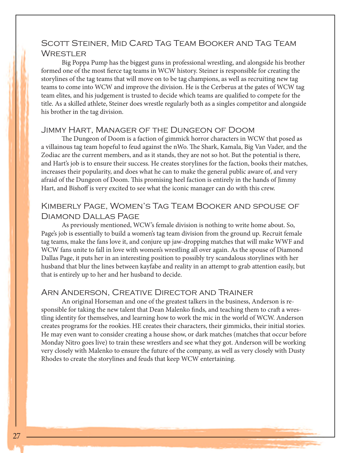#### Scott Steiner, Mid Card Tag Team Booker and Tag Team **WRESTLER**

Big Poppa Pump has the biggest guns in professional wrestling, and alongside his brother formed one of the most fierce tag teams in WCW history. Steiner is responsible for creating the storylines of the tag teams that will move on to be tag champions, as well as recruiting new tag teams to come into WCW and improve the division. He is the Cerberus at the gates of WCW tag team elites, and his judgement is trusted to decide which teams are qualified to compete for the title. As a skilled athlete, Steiner does wrestle regularly both as a singles competitor and alongside his brother in the tag division.

#### Jimmy Hart, Manager of the Dungeon of Doom

The Dungeon of Doom is a faction of gimmick horror characters in WCW that posed as a villainous tag team hopeful to feud against the nWo. The Shark, Kamala, Big Van Vader, and the Zodiac are the current members, and as it stands, they are not so hot. But the potential is there, and Hart's job is to ensure their success. He creates storylines for the faction, books their matches, increases their popularity, and does what he can to make the general public aware of, and very afraid of the Dungeon of Doom. This promising heel faction is entirely in the hands of Jimmy Hart, and Bishoff is very excited to see what the iconic manager can do with this crew.

#### Kimberly Page, Women's Tag Team Booker and spouse of Diamond Dallas Page

As previously mentioned, WCW's female division is nothing to write home about. So, Page's job is essentially to build a women's tag team division from the ground up. Recruit female tag teams, make the fans love it, and conjure up jaw-dropping matches that will make WWF and WCW fans unite to fall in love with women's wrestling all over again. As the spouse of Diamond Dallas Page, it puts her in an interesting position to possibly try scandalous storylines with her husband that blur the lines between kayfabe and reality in an attempt to grab attention easily, but that is entirely up to her and her husband to decide.

#### Arn Anderson, Creative Director and Trainer

An original Horseman and one of the greatest talkers in the business, Anderson is responsible for taking the new talent that Dean Malenko finds, and teaching them to craft a wrestling identity for themselves, and learning how to work the mic in the world of WCW. Anderson creates programs for the rookies. HE creates their characters, their gimmicks, their initial stories. He may even want to consider creating a house show, or dark matches (matches that occur before Monday Nitro goes live) to train these wrestlers and see what they got. Anderson will be working very closely with Malenko to ensure the future of the company, as well as very closely with Dusty Rhodes to create the storylines and feuds that keep WCW entertaining.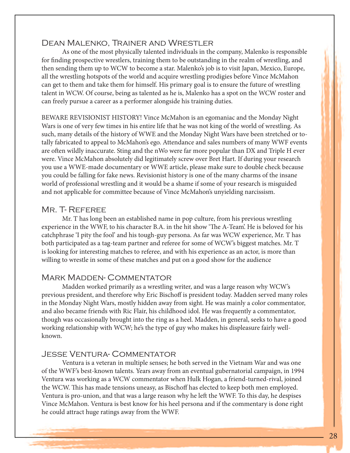#### Dean Malenko, Trainer and Wrestler

As one of the most physically talented individuals in the company, Malenko is responsible for finding prospective wrestlers, training them to be outstanding in the realm of wrestling, and then sending them up to WCW to become a star. Malenko's job is to visit Japan, Mexico, Europe, all the wrestling hotspots of the world and acquire wrestling prodigies before Vince McMahon can get to them and take them for himself. His primary goal is to ensure the future of wrestling talent in WCW. Of course, being as talented as he is, Malenko has a spot on the WCW roster and can freely pursue a career as a performer alongside his training duties.

BEWARE REVISIONIST HISTORY! Vince McMahon is an egomaniac and the Monday Night Wars is one of very few times in his entire life that he was not king of the world of wrestling. As such, many details of the history of WWE and the Monday Night Wars have been stretched or totally fabricated to appeal to McMahon's ego. Attendance and sales numbers of many WWF events are often wildly inaccurate. Sting and the nWo were far more popular than DX and Triple H ever were. Vince McMahon absolutely did legitimately screw over Bret Hart. If during your research you use a WWE-made documentary or WWE article, please make sure to double check because you could be falling for fake news. Revisionist history is one of the many charms of the insane world of professional wrestling and it would be a shame if some of your research is misguided and not applicable for committee because of Vince McMahon's unyielding narcissism.

#### MR. T- REFEREE

Mr. T has long been an established name in pop culture, from his previous wrestling experience in the WWF, to his character B.A. in the hit show 'The A-Team'. He is beloved for his catchphrase 'I pity the fool' and his tough-guy persona. As far was WCW experience, Mr. T has both participated as a tag-team partner and referee for some of WCW's biggest matches. Mr. T is looking for interesting matches to referee, and with his experience as an actor, is more than willing to wrestle in some of these matches and put on a good show for the audience

#### Mark Madden- Commentator

Madden worked primarily as a wrestling writer, and was a large reason why WCW's previous president, and therefore why Eric Bischoff is president today. Madden served many roles in the Monday Night Wars, mostly hidden away from sight. He was mainly a color commentator, and also became friends with Ric Flair, his childhood idol. He was frequently a commentator, though was occasionally brought into the ring as a heel. Madden, in general, seeks to have a good working relationship with WCW; he's the type of guy who makes his displeasure fairly wellknown.

#### Jesse Ventura- Commentator

Ventura is a veteran in multiple senses; he both served in the Vietnam War and was one of the WWF's best-known talents. Years away from an eventual gubernatorial campaign, in 1994 Ventura was working as a WCW commentator when Hulk Hogan, a friend-turned-rival, joined the WCW. This has made tensions uneasy, as Bischoff has elected to keep both men employed. Ventura is pro-union, and that was a large reason why he left the WWF. To this day, he despises Vince McMahon. Ventura is best know for his heel persona and if the commentary is done right he could attract huge ratings away from the WWF.